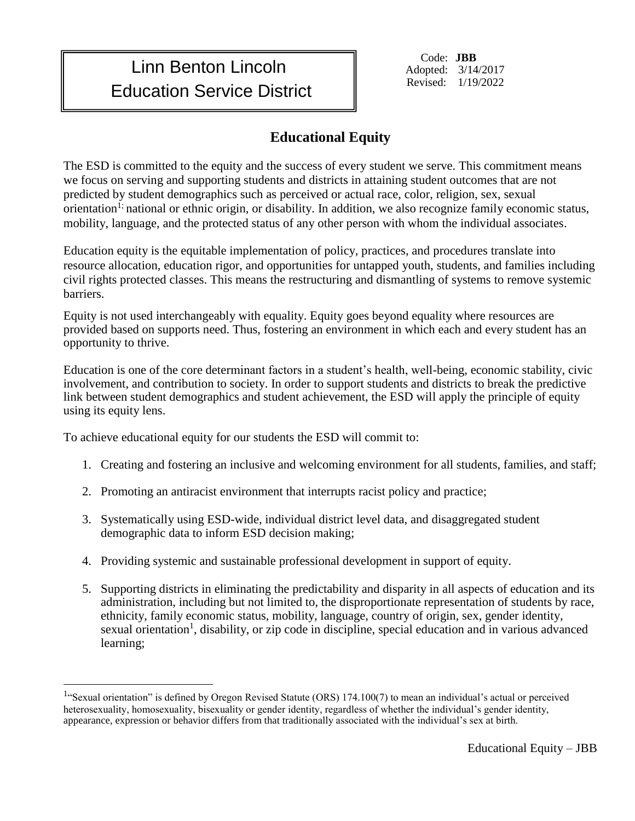## Linn Benton Lincoln Education Service District

Code: **JBB** Adopted: 3/14/2017 Revised: 1/19/2022

## **Educational Equity**

The ESD is committed to the equity and the success of every student we serve. This commitment means we focus on serving and supporting students and districts in attaining student outcomes that are not predicted by student demographics such as perceived or actual race, color, religion, sex, sexual orientation<sup>1;</sup> national or ethnic origin, or disability. In addition, we also recognize family economic status, mobility, language, and the protected status of any other person with whom the individual associates.

Education equity is the equitable implementation of policy, practices, and procedures translate into resource allocation, education rigor, and opportunities for untapped youth, students, and families including civil rights protected classes. This means the restructuring and dismantling of systems to remove systemic barriers.

Equity is not used interchangeably with equality. Equity goes beyond equality where resources are provided based on supports need. Thus, fostering an environment in which each and every student has an opportunity to thrive.

Education is one of the core determinant factors in a student's health, well-being, economic stability, civic involvement, and contribution to society. In order to support students and districts to break the predictive link between student demographics and student achievement, the ESD will apply the principle of equity using its equity lens.

To achieve educational equity for our students the ESD will commit to:

 $\overline{a}$ 

- 1. Creating and fostering an inclusive and welcoming environment for all students, families, and staff;
- 2. Promoting an antiracist environment that interrupts racist policy and practice;
- 3. Systematically using ESD-wide, individual district level data, and disaggregated student demographic data to inform ESD decision making;
- 4. Providing systemic and sustainable professional development in support of equity.
- 5. Supporting districts in eliminating the predictability and disparity in all aspects of education and its administration, including but not limited to, the disproportionate representation of students by race, ethnicity, family economic status, mobility, language, country of origin, sex, gender identity, sexual orientation<sup>1</sup>, disability, or zip code in discipline, special education and in various advanced learning;

<sup>&</sup>lt;sup>1</sup>"Sexual orientation" is defined by Oregon Revised Statute (ORS) 174.100(7) to mean an individual's actual or perceived heterosexuality, homosexuality, bisexuality or gender identity, regardless of whether the individual's gender identity, appearance, expression or behavior differs from that traditionally associated with the individual's sex at birth.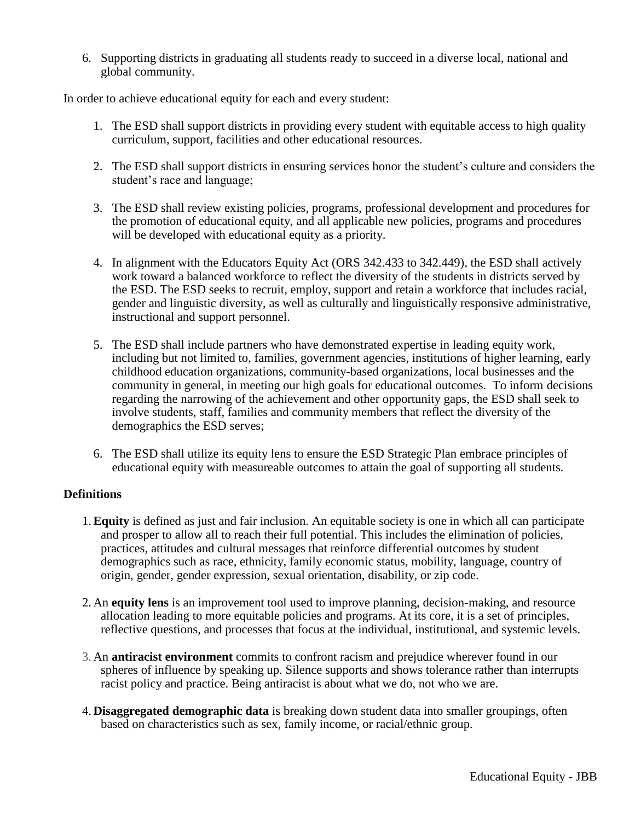6. Supporting districts in graduating all students ready to succeed in a diverse local, national and global community.

In order to achieve educational equity for each and every student:

- 1. The ESD shall support districts in providing every student with equitable access to high quality curriculum, support, facilities and other educational resources.
- 2. The ESD shall support districts in ensuring services honor the student's culture and considers the student's race and language;
- 3. The ESD shall review existing policies, programs, professional development and procedures for the promotion of educational equity, and all applicable new policies, programs and procedures will be developed with educational equity as a priority.
- 4. In alignment with the Educators Equity Act (ORS 342.433 to 342.449), the ESD shall actively work toward a balanced workforce to reflect the diversity of the students in districts served by the ESD. The ESD seeks to recruit, employ, support and retain a workforce that includes racial, gender and linguistic diversity, as well as culturally and linguistically responsive administrative, instructional and support personnel.
- 5. The ESD shall include partners who have demonstrated expertise in leading equity work, including but not limited to, families, government agencies, institutions of higher learning, early childhood education organizations, community-based organizations, local businesses and the community in general, in meeting our high goals for educational outcomes. To inform decisions regarding the narrowing of the achievement and other opportunity gaps, the ESD shall seek to involve students, staff, families and community members that reflect the diversity of the demographics the ESD serves;
- 6. The ESD shall utilize its equity lens to ensure the ESD Strategic Plan embrace principles of educational equity with measureable outcomes to attain the goal of supporting all students.

## **Definitions**

- 1.**Equity** is defined as just and fair inclusion. An equitable society is one in which all can participate and prosper to allow all to reach their full potential. This includes the elimination of policies, practices, attitudes and cultural messages that reinforce differential outcomes by student demographics such as race, ethnicity, family economic status, mobility, language, country of origin, gender, gender expression, sexual orientation, disability, or zip code.
- 2. An **equity lens** is an improvement tool used to improve planning, decision-making, and resource allocation leading to more equitable policies and programs. At its core, it is a set of principles, reflective questions, and processes that focus at the individual, institutional, and systemic levels.
- 3. An **antiracist environment** commits to confront racism and prejudice wherever found in our spheres of influence by speaking up. Silence supports and shows tolerance rather than interrupts racist policy and practice. Being antiracist is about what we do, not who we are.
- 4. **Disaggregated demographic data** is breaking down student data into smaller groupings, often based on characteristics such as sex, family income, or racial/ethnic group.